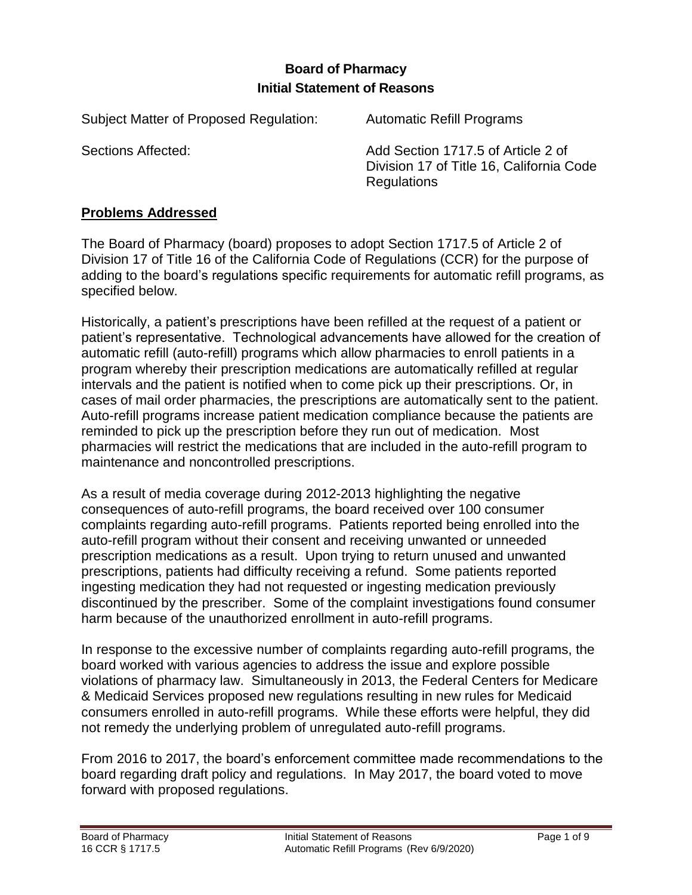# **Board of Pharmacy Initial Statement of Reasons**

Subject Matter of Proposed Regulation: Automatic Refill Programs

Sections Affected: Add Section 1717.5 of Article 2 of Division 17 of Title 16, California Code Regulations

### **Problems Addressed**

The Board of Pharmacy (board) proposes to adopt Section 1717.5 of Article 2 of Division 17 of Title 16 of the California Code of Regulations (CCR) for the purpose of adding to the board's regulations specific requirements for automatic refill programs, as specified below.

Historically, a patient's prescriptions have been refilled at the request of a patient or patient's representative. Technological advancements have allowed for the creation of automatic refill (auto-refill) programs which allow pharmacies to enroll patients in a program whereby their prescription medications are automatically refilled at regular intervals and the patient is notified when to come pick up their prescriptions. Or, in cases of mail order pharmacies, the prescriptions are automatically sent to the patient. Auto-refill programs increase patient medication compliance because the patients are reminded to pick up the prescription before they run out of medication. Most pharmacies will restrict the medications that are included in the auto-refill program to maintenance and noncontrolled prescriptions.

As a result of media coverage during 2012-2013 highlighting the negative consequences of auto-refill programs, the board received over 100 consumer complaints regarding auto-refill programs. Patients reported being enrolled into the auto-refill program without their consent and receiving unwanted or unneeded prescription medications as a result. Upon trying to return unused and unwanted prescriptions, patients had difficulty receiving a refund. Some patients reported ingesting medication they had not requested or ingesting medication previously discontinued by the prescriber. Some of the complaint investigations found consumer harm because of the unauthorized enrollment in auto-refill programs.

In response to the excessive number of complaints regarding auto-refill programs, the board worked with various agencies to address the issue and explore possible violations of pharmacy law. Simultaneously in 2013, the Federal Centers for Medicare & Medicaid Services proposed new regulations resulting in new rules for Medicaid consumers enrolled in auto-refill programs. While these efforts were helpful, they did not remedy the underlying problem of unregulated auto-refill programs.

From 2016 to 2017, the board's enforcement committee made recommendations to the board regarding draft policy and regulations. In May 2017, the board voted to move forward with proposed regulations.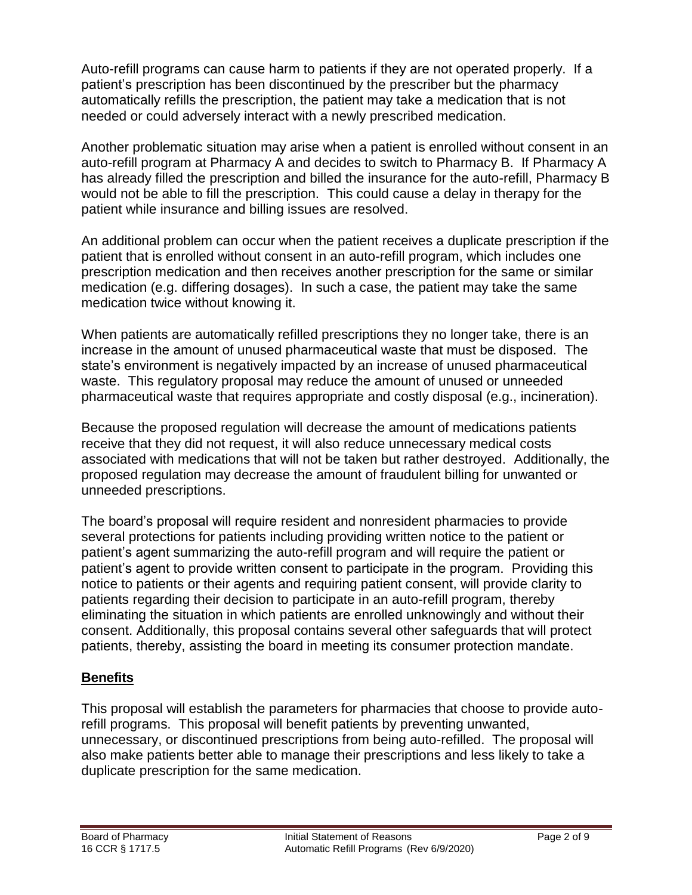Auto-refill programs can cause harm to patients if they are not operated properly. If a patient's prescription has been discontinued by the prescriber but the pharmacy automatically refills the prescription, the patient may take a medication that is not needed or could adversely interact with a newly prescribed medication.

Another problematic situation may arise when a patient is enrolled without consent in an auto-refill program at Pharmacy A and decides to switch to Pharmacy B. If Pharmacy A has already filled the prescription and billed the insurance for the auto-refill, Pharmacy B would not be able to fill the prescription. This could cause a delay in therapy for the patient while insurance and billing issues are resolved.

An additional problem can occur when the patient receives a duplicate prescription if the patient that is enrolled without consent in an auto-refill program, which includes one prescription medication and then receives another prescription for the same or similar medication (e.g. differing dosages). In such a case, the patient may take the same medication twice without knowing it.

When patients are automatically refilled prescriptions they no longer take, there is an increase in the amount of unused pharmaceutical waste that must be disposed. The state's environment is negatively impacted by an increase of unused pharmaceutical waste. This regulatory proposal may reduce the amount of unused or unneeded pharmaceutical waste that requires appropriate and costly disposal (e.g., incineration).

Because the proposed regulation will decrease the amount of medications patients receive that they did not request, it will also reduce unnecessary medical costs associated with medications that will not be taken but rather destroyed. Additionally, the proposed regulation may decrease the amount of fraudulent billing for unwanted or unneeded prescriptions.

The board's proposal will require resident and nonresident pharmacies to provide several protections for patients including providing written notice to the patient or patient's agent summarizing the auto-refill program and will require the patient or patient's agent to provide written consent to participate in the program. Providing this notice to patients or their agents and requiring patient consent, will provide clarity to patients regarding their decision to participate in an auto-refill program, thereby eliminating the situation in which patients are enrolled unknowingly and without their consent. Additionally, this proposal contains several other safeguards that will protect patients, thereby, assisting the board in meeting its consumer protection mandate.

## **Benefits**

This proposal will establish the parameters for pharmacies that choose to provide autorefill programs. This proposal will benefit patients by preventing unwanted, unnecessary, or discontinued prescriptions from being auto-refilled. The proposal will also make patients better able to manage their prescriptions and less likely to take a duplicate prescription for the same medication.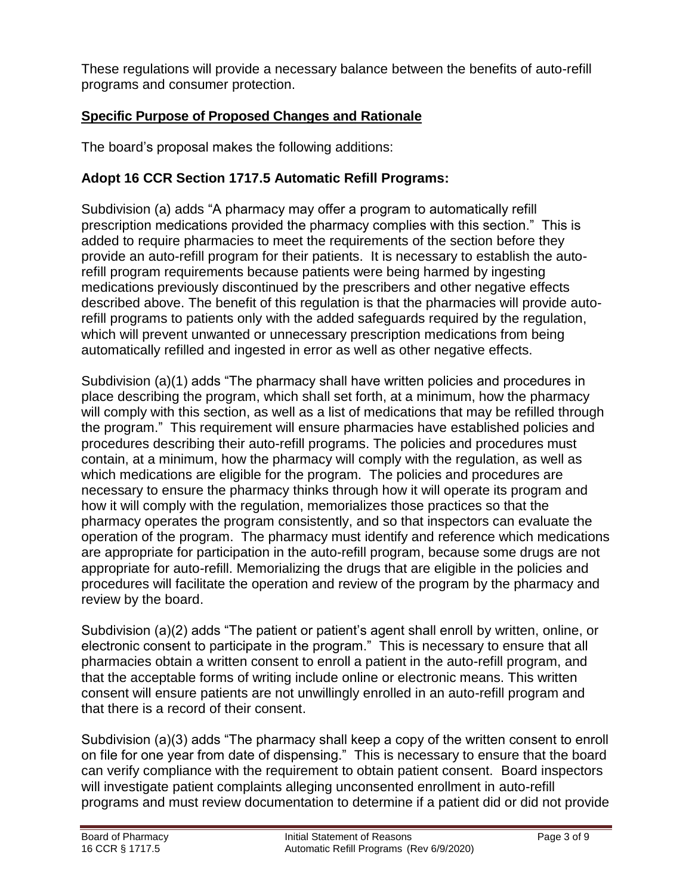These regulations will provide a necessary balance between the benefits of auto-refill programs and consumer protection.

# **Specific Purpose of Proposed Changes and Rationale**

The board's proposal makes the following additions:

# **Adopt 16 CCR Section 1717.5 Automatic Refill Programs:**

Subdivision (a) adds "A pharmacy may offer a program to automatically refill prescription medications provided the pharmacy complies with this section." This is added to require pharmacies to meet the requirements of the section before they provide an auto-refill program for their patients. It is necessary to establish the autorefill program requirements because patients were being harmed by ingesting medications previously discontinued by the prescribers and other negative effects described above. The benefit of this regulation is that the pharmacies will provide autorefill programs to patients only with the added safeguards required by the regulation, which will prevent unwanted or unnecessary prescription medications from being automatically refilled and ingested in error as well as other negative effects.

Subdivision (a)(1) adds "The pharmacy shall have written policies and procedures in place describing the program, which shall set forth, at a minimum, how the pharmacy will comply with this section, as well as a list of medications that may be refilled through the program." This requirement will ensure pharmacies have established policies and procedures describing their auto-refill programs. The policies and procedures must contain, at a minimum, how the pharmacy will comply with the regulation, as well as which medications are eligible for the program. The policies and procedures are necessary to ensure the pharmacy thinks through how it will operate its program and how it will comply with the regulation, memorializes those practices so that the pharmacy operates the program consistently, and so that inspectors can evaluate the operation of the program. The pharmacy must identify and reference which medications are appropriate for participation in the auto-refill program, because some drugs are not appropriate for auto-refill. Memorializing the drugs that are eligible in the policies and procedures will facilitate the operation and review of the program by the pharmacy and review by the board.

Subdivision (a)(2) adds "The patient or patient's agent shall enroll by written, online, or electronic consent to participate in the program." This is necessary to ensure that all pharmacies obtain a written consent to enroll a patient in the auto-refill program, and that the acceptable forms of writing include online or electronic means. This written consent will ensure patients are not unwillingly enrolled in an auto-refill program and that there is a record of their consent.

Subdivision (a)(3) adds "The pharmacy shall keep a copy of the written consent to enroll on file for one year from date of dispensing." This is necessary to ensure that the board can verify compliance with the requirement to obtain patient consent. Board inspectors will investigate patient complaints alleging unconsented enrollment in auto-refill programs and must review documentation to determine if a patient did or did not provide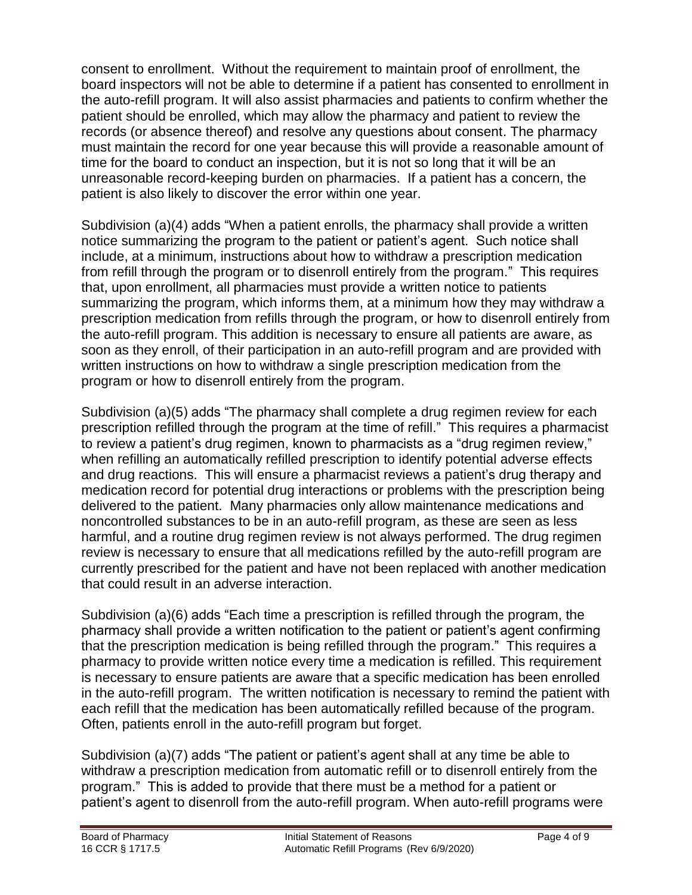consent to enrollment. Without the requirement to maintain proof of enrollment, the board inspectors will not be able to determine if a patient has consented to enrollment in the auto-refill program. It will also assist pharmacies and patients to confirm whether the patient should be enrolled, which may allow the pharmacy and patient to review the records (or absence thereof) and resolve any questions about consent. The pharmacy must maintain the record for one year because this will provide a reasonable amount of time for the board to conduct an inspection, but it is not so long that it will be an unreasonable record-keeping burden on pharmacies. If a patient has a concern, the patient is also likely to discover the error within one year.

Subdivision (a)(4) adds "When a patient enrolls, the pharmacy shall provide a written notice summarizing the program to the patient or patient's agent. Such notice shall include, at a minimum, instructions about how to withdraw a prescription medication from refill through the program or to disenroll entirely from the program." This requires that, upon enrollment, all pharmacies must provide a written notice to patients summarizing the program, which informs them, at a minimum how they may withdraw a prescription medication from refills through the program, or how to disenroll entirely from the auto-refill program. This addition is necessary to ensure all patients are aware, as soon as they enroll, of their participation in an auto-refill program and are provided with written instructions on how to withdraw a single prescription medication from the program or how to disenroll entirely from the program.

Subdivision (a)(5) adds "The pharmacy shall complete a drug regimen review for each prescription refilled through the program at the time of refill." This requires a pharmacist to review a patient's drug regimen, known to pharmacists as a "drug regimen review," when refilling an automatically refilled prescription to identify potential adverse effects and drug reactions. This will ensure a pharmacist reviews a patient's drug therapy and medication record for potential drug interactions or problems with the prescription being delivered to the patient. Many pharmacies only allow maintenance medications and noncontrolled substances to be in an auto-refill program, as these are seen as less harmful, and a routine drug regimen review is not always performed. The drug regimen review is necessary to ensure that all medications refilled by the auto-refill program are currently prescribed for the patient and have not been replaced with another medication that could result in an adverse interaction.

Subdivision (a)(6) adds "Each time a prescription is refilled through the program, the pharmacy shall provide a written notification to the patient or patient's agent confirming that the prescription medication is being refilled through the program." This requires a pharmacy to provide written notice every time a medication is refilled. This requirement is necessary to ensure patients are aware that a specific medication has been enrolled in the auto-refill program. The written notification is necessary to remind the patient with each refill that the medication has been automatically refilled because of the program. Often, patients enroll in the auto-refill program but forget.

Subdivision (a)(7) adds "The patient or patient's agent shall at any time be able to withdraw a prescription medication from automatic refill or to disenroll entirely from the program." This is added to provide that there must be a method for a patient or patient's agent to disenroll from the auto-refill program. When auto-refill programs were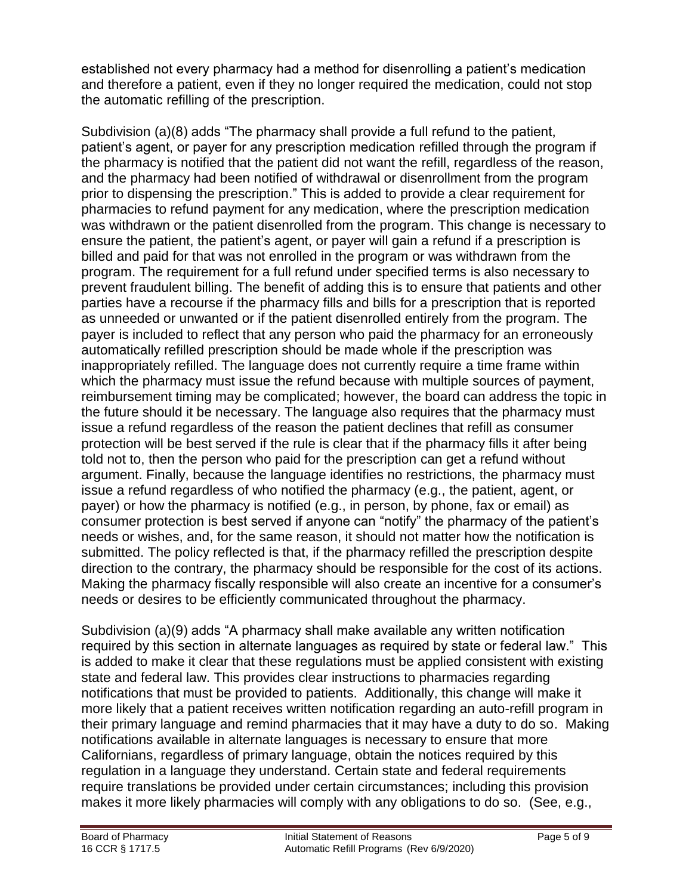established not every pharmacy had a method for disenrolling a patient's medication and therefore a patient, even if they no longer required the medication, could not stop the automatic refilling of the prescription.

Subdivision (a)(8) adds "The pharmacy shall provide a full refund to the patient, patient's agent, or payer for any prescription medication refilled through the program if the pharmacy is notified that the patient did not want the refill, regardless of the reason, and the pharmacy had been notified of withdrawal or disenrollment from the program prior to dispensing the prescription." This is added to provide a clear requirement for pharmacies to refund payment for any medication, where the prescription medication was withdrawn or the patient disenrolled from the program. This change is necessary to ensure the patient, the patient's agent, or payer will gain a refund if a prescription is billed and paid for that was not enrolled in the program or was withdrawn from the program. The requirement for a full refund under specified terms is also necessary to prevent fraudulent billing. The benefit of adding this is to ensure that patients and other parties have a recourse if the pharmacy fills and bills for a prescription that is reported as unneeded or unwanted or if the patient disenrolled entirely from the program. The payer is included to reflect that any person who paid the pharmacy for an erroneously automatically refilled prescription should be made whole if the prescription was inappropriately refilled. The language does not currently require a time frame within which the pharmacy must issue the refund because with multiple sources of payment, reimbursement timing may be complicated; however, the board can address the topic in the future should it be necessary. The language also requires that the pharmacy must issue a refund regardless of the reason the patient declines that refill as consumer protection will be best served if the rule is clear that if the pharmacy fills it after being told not to, then the person who paid for the prescription can get a refund without argument. Finally, because the language identifies no restrictions, the pharmacy must issue a refund regardless of who notified the pharmacy (e.g., the patient, agent, or payer) or how the pharmacy is notified (e.g., in person, by phone, fax or email) as consumer protection is best served if anyone can "notify" the pharmacy of the patient's needs or wishes, and, for the same reason, it should not matter how the notification is submitted. The policy reflected is that, if the pharmacy refilled the prescription despite direction to the contrary, the pharmacy should be responsible for the cost of its actions. Making the pharmacy fiscally responsible will also create an incentive for a consumer's needs or desires to be efficiently communicated throughout the pharmacy.

Subdivision (a)(9) adds "A pharmacy shall make available any written notification required by this section in alternate languages as required by state or federal law." This is added to make it clear that these regulations must be applied consistent with existing state and federal law. This provides clear instructions to pharmacies regarding notifications that must be provided to patients. Additionally, this change will make it more likely that a patient receives written notification regarding an auto-refill program in their primary language and remind pharmacies that it may have a duty to do so. Making notifications available in alternate languages is necessary to ensure that more Californians, regardless of primary language, obtain the notices required by this regulation in a language they understand. Certain state and federal requirements require translations be provided under certain circumstances; including this provision makes it more likely pharmacies will comply with any obligations to do so. (See, e.g.,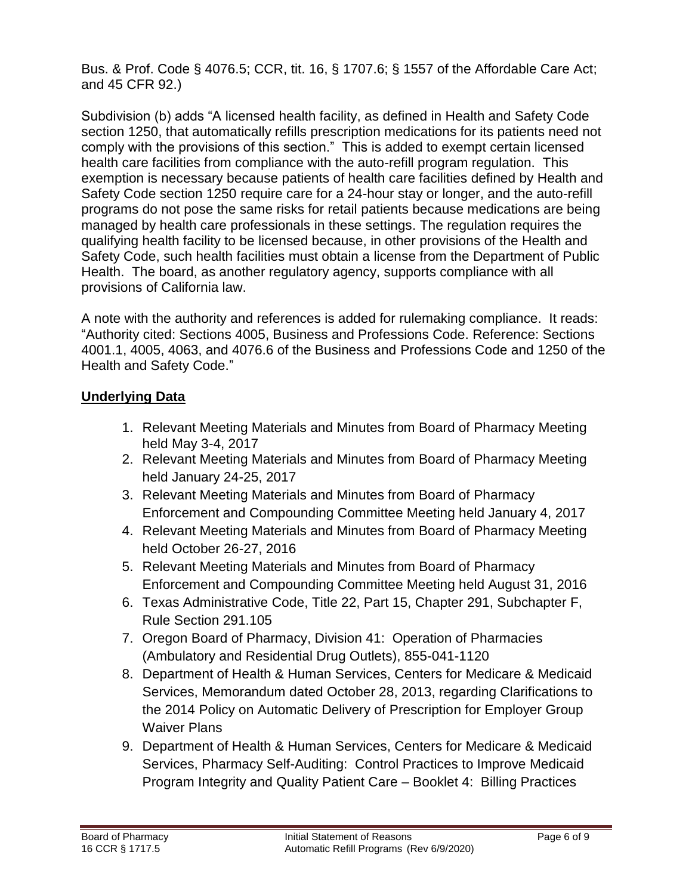Bus. & Prof. Code § 4076.5; CCR, tit. 16, § 1707.6; § 1557 of the Affordable Care Act; and 45 CFR 92.)

Subdivision (b) adds "A licensed health facility, as defined in Health and Safety Code section 1250, that automatically refills prescription medications for its patients need not comply with the provisions of this section." This is added to exempt certain licensed health care facilities from compliance with the auto-refill program regulation. This exemption is necessary because patients of health care facilities defined by Health and Safety Code section 1250 require care for a 24-hour stay or longer, and the auto-refill programs do not pose the same risks for retail patients because medications are being managed by health care professionals in these settings. The regulation requires the qualifying health facility to be licensed because, in other provisions of the Health and Safety Code, such health facilities must obtain a license from the Department of Public Health. The board, as another regulatory agency, supports compliance with all provisions of California law.

A note with the authority and references is added for rulemaking compliance. It reads: "Authority cited: Sections 4005, Business and Professions Code. Reference: Sections 4001.1, 4005, 4063, and 4076.6 of the Business and Professions Code and 1250 of the Health and Safety Code."

## **Underlying Data**

- 1. Relevant Meeting Materials and Minutes from Board of Pharmacy Meeting held May 3-4, 2017
- 2. Relevant Meeting Materials and Minutes from Board of Pharmacy Meeting held January 24-25, 2017
- 3. Relevant Meeting Materials and Minutes from Board of Pharmacy Enforcement and Compounding Committee Meeting held January 4, 2017
- 4. Relevant Meeting Materials and Minutes from Board of Pharmacy Meeting held October 26-27, 2016
- 5. Relevant Meeting Materials and Minutes from Board of Pharmacy Enforcement and Compounding Committee Meeting held August 31, 2016
- 6. Texas Administrative Code, Title 22, Part 15, Chapter 291, Subchapter F, Rule Section 291.105
- 7. Oregon Board of Pharmacy, Division 41: Operation of Pharmacies (Ambulatory and Residential Drug Outlets), 855-041-1120
- 8. Department of Health & Human Services, Centers for Medicare & Medicaid Services, Memorandum dated October 28, 2013, regarding Clarifications to the 2014 Policy on Automatic Delivery of Prescription for Employer Group Waiver Plans
- 9. Department of Health & Human Services, Centers for Medicare & Medicaid Services, Pharmacy Self-Auditing: Control Practices to Improve Medicaid Program Integrity and Quality Patient Care – Booklet 4: Billing Practices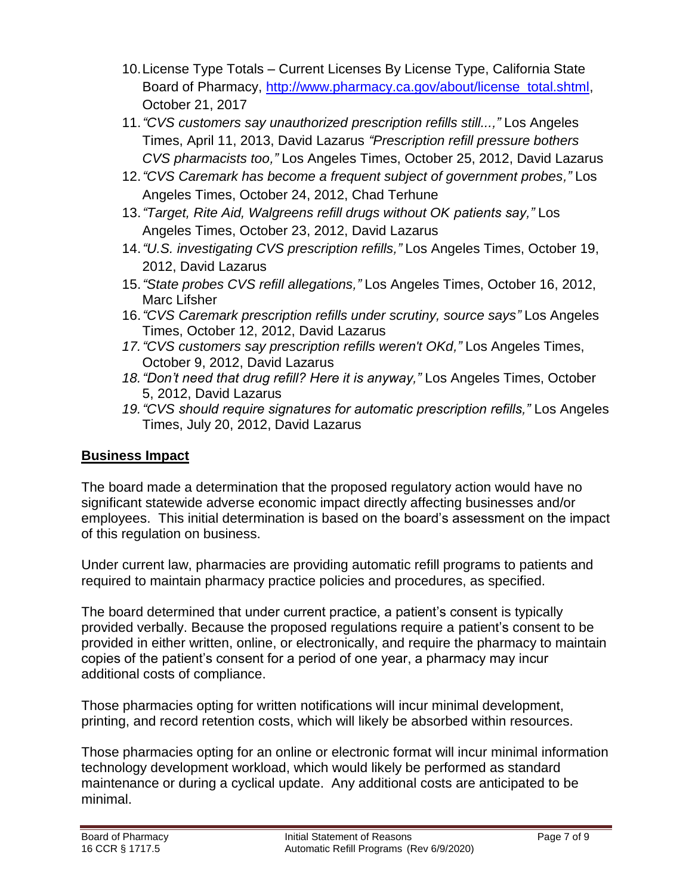- 10.License Type Totals Current Licenses By License Type, California State Board of Pharmacy, [http://www.pharmacy.ca.gov/about/license\\_total.shtml,](http://www.pharmacy.ca.gov/about/license_total.shtml) October 21, 2017
- 11.*["CVS customers say unauthorized](http://articles.latimes.com/2013/apr/11/business/la-fi-lazarus-20130412) prescription refills still...,"* Los Angeles Times, April 11, 2013, David Lazarus *["Prescription refill pressure bothers](http://articles.latimes.com/2012/oct/25/business/la-fi-lazarus-20121026)  [CVS pharmacists too,](http://articles.latimes.com/2012/oct/25/business/la-fi-lazarus-20121026)"* Los Angeles Times, October 25, 2012, David Lazarus
- 12.*["CVS Caremark has become a frequent subject of government probes,](http://articles.latimes.com/2012/oct/24/business/la-fi-cvs-caremark-20121024)"* Los Angeles Times, October 24, 2012, Chad Terhune
- 13.*["Target, Rite Aid, Walgreens refill drugs without OK](http://articles.latimes.com/2012/oct/23/business/la-fi-lazarus-20121023) patients say,"* Los Angeles Times, October 23, 2012, David Lazarus
- 14.*["U.S. investigating CVS prescription refills,](http://articles.latimes.com/2012/oct/19/business/la-fi-lazarus-20121019)"* Los Angeles Times, October 19, 2012, David Lazarus
- 15.*["State probes CVS refill allegations,](http://articles.latimes.com/2012/oct/16/business/la-fi-cvs-pharmacy-20121017)"* Los Angeles Times, October 16, 2012, Marc Lifsher
- 16.*["CVS Caremark prescription refills under scrutiny, source says"](http://articles.latimes.com/2012/oct/12/business/la-fi-lazarus-20121012)* Los Angeles Times, October 12, 2012, David Lazarus
- *17.["CVS customers say prescription refills weren't OKd,](http://articles.latimes.com/2012/oct/09/business/la-fi-lazarus-20121009)"* Los Angeles Times, October 9, 2012, David Lazarus
- *18.["Don't](http://articles.latimes.com/2012/oct/09/business/la-fi-lazarus-20121009) need that drug refill? Here it is anyway,"* Los Angeles Times, October 5, 2012, David Lazarus
- *19.["CVS](http://articles.latimes.com/2012/oct/09/business/la-fi-lazarus-20121009) should require signatures for automatic prescription refills,"* Los Angeles Times, July 20, 2012, David Lazarus

# **Business Impact**

The board made a determination that the proposed regulatory action would have no significant statewide adverse economic impact directly affecting businesses and/or employees. This initial determination is based on the board's assessment on the impact of this regulation on business.

Under current law, pharmacies are providing automatic refill programs to patients and required to maintain pharmacy practice policies and procedures, as specified.

The board determined that under current practice, a patient's consent is typically provided verbally. Because the proposed regulations require a patient's consent to be provided in either written, online, or electronically, and require the pharmacy to maintain copies of the patient's consent for a period of one year, a pharmacy may incur additional costs of compliance.

Those pharmacies opting for written notifications will incur minimal development, printing, and record retention costs, which will likely be absorbed within resources.

Those pharmacies opting for an online or electronic format will incur minimal information technology development workload, which would likely be performed as standard maintenance or during a cyclical update. Any additional costs are anticipated to be minimal.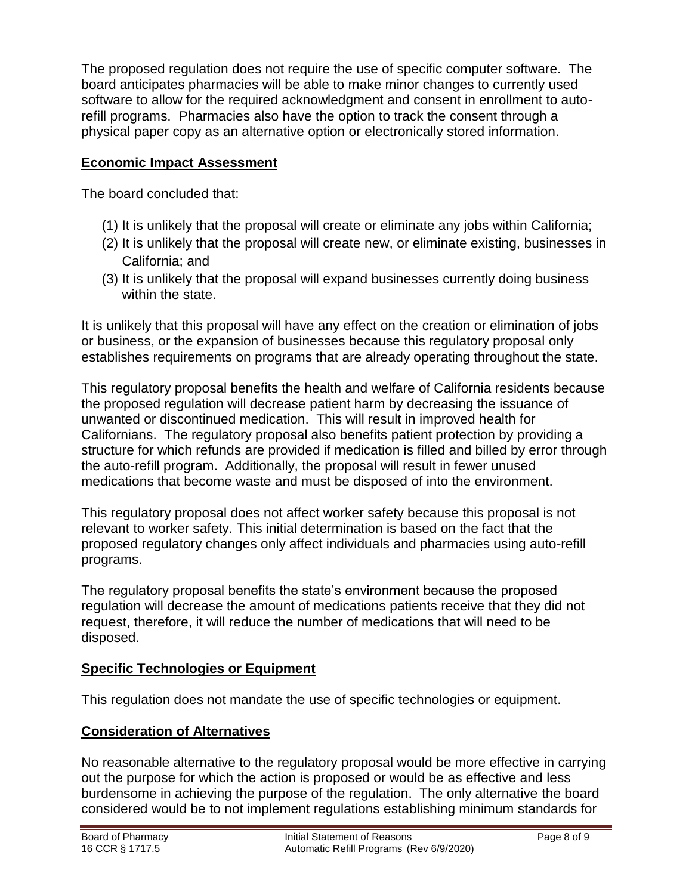The proposed regulation does not require the use of specific computer software. The board anticipates pharmacies will be able to make minor changes to currently used software to allow for the required acknowledgment and consent in enrollment to autorefill programs. Pharmacies also have the option to track the consent through a physical paper copy as an alternative option or electronically stored information.

## **Economic Impact Assessment**

The board concluded that:

- (1) It is unlikely that the proposal will create or eliminate any jobs within California;
- (2) It is unlikely that the proposal will create new, or eliminate existing, businesses in California; and
- (3) It is unlikely that the proposal will expand businesses currently doing business within the state.

It is unlikely that this proposal will have any effect on the creation or elimination of jobs or business, or the expansion of businesses because this regulatory proposal only establishes requirements on programs that are already operating throughout the state.

This regulatory proposal benefits the health and welfare of California residents because the proposed regulation will decrease patient harm by decreasing the issuance of unwanted or discontinued medication. This will result in improved health for Californians. The regulatory proposal also benefits patient protection by providing a structure for which refunds are provided if medication is filled and billed by error through the auto-refill program. Additionally, the proposal will result in fewer unused medications that become waste and must be disposed of into the environment.

This regulatory proposal does not affect worker safety because this proposal is not relevant to worker safety. This initial determination is based on the fact that the proposed regulatory changes only affect individuals and pharmacies using auto-refill programs.

The regulatory proposal benefits the state's environment because the proposed regulation will decrease the amount of medications patients receive that they did not request, therefore, it will reduce the number of medications that will need to be disposed.

#### **Specific Technologies or Equipment**

This regulation does not mandate the use of specific technologies or equipment.

#### **Consideration of Alternatives**

No reasonable alternative to the regulatory proposal would be more effective in carrying out the purpose for which the action is proposed or would be as effective and less burdensome in achieving the purpose of the regulation. The only alternative the board considered would be to not implement regulations establishing minimum standards for